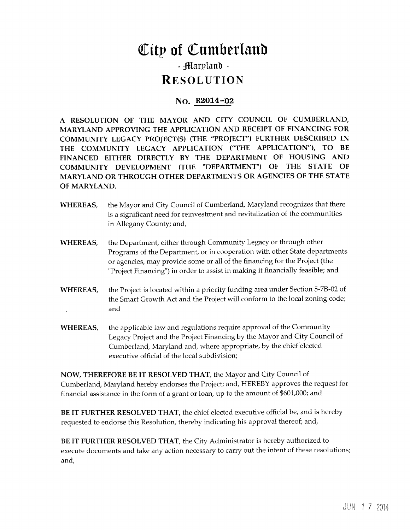## City of Cumberland - Marpland -

### **RESOLUTION**

#### No. R2014-02

A RESOLUTION OF THE MAYOR AND CITY COUNCIL OF CUMBERLAND MARYLAND APPROVING THE APPLICATION AND RECEIPT OF FINANCING FOR COMMUNITY LEGACY PROJECT(S) (THE "PROJECT") FURTHER DESCRIBED IN THE COMMUNITY LEGACY APPLICATION ("THE APPLICATION"), TO BE FINANCED EITHER DIRECTLY BY THE DEPARTMENT OF HOUSING AND COMMUNITY DEVELOPMENT (THE "DEPARTMENT") OF THE STATE OF MARYLAND OR THROUGH OTHER DEPARTMENTS OR AGENCIES OF THE STATE OF MARYLAND

- WHEREAS, the Mayor and City Council of Cumberland, Maryland recognizes that there is a significant need for reinvestment and revitalization of the communities in Allegany County; and,
- WHEREAS, the Department, either through Community Legacy or through other Programs of the Department, or in cooperation with other State departments or agencies, may provide some or all of the financing for the Project (the "Project Financing") in order to assist in making it financially feasible; and
- WHEREAS, the Project is located within a priority funding area under Section 5-7B-02 of the Smart Growth Act and the Project will conform to the local zoning code and
- WHEREAS, the applicable law and regulations require approval of the Community Legacy Project and the Project Financing by the Mayor and City Council of Cumberland, Maryland and, where appropriate, by the chief elected executive official of the local subdivision

NOW, THEREFORE BE IT RESOLVED THAT, the Mayor and City Council of Cumberland, Maryland hereby endorses the Project; and, HEREBY approves the request for financial assistance in the form of a grant or loan, up to the amount of \$601,000; and

BE IT FURTHER RESOLVED THAT, the chief elected executive official be, and is hereby requested to endorse this Resolution, thereby indicating his approval thereof; and,

BE IT FURTHER RESOLVED THAT, the City Administrator is hereby authorized to execute documents and take any action necessary to carry out the intent of these resolutions and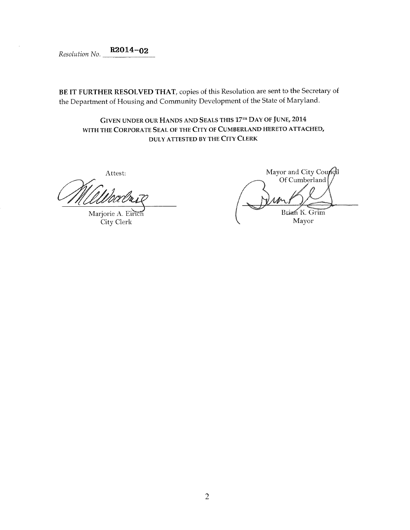$Resolution No.$  R2014-02

BE IT FURTHER RESOLVED THAT, copies of this Resolution are sent to the Secretary of the Department of Housing and Community Development of the State of Maryland

GIVEN UNDER OUR HANDS AND SEALS THIS 17TH DAY OF JUNE, 2014 WITH THE CORPORATE SEAL OF THE CITY OF CUMBERLAND HERETO ATTACHED DULY ATTESTED BY THE CITY CLERK

Attest:

Marjorie A. Eirich City Clerk

Mayor and City Council Of Cumberland Brian K. Grim Mayor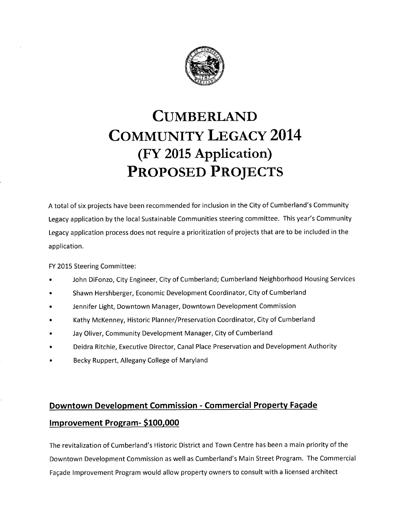

# CUMBERLAND COMMUNITY LEGACY 2014 FY <sup>2015</sup> Application PROPOSED PROJECTS (FY 2015 Application)<br>PROPOSED PROJECTS<br>A total of six projects have been recommended for inclusion in the City of Cumberland's Community<br>Legacy application by the local Sustainable Communities steering committee. This yea

A total of six projects have been recommended for inclusion in the City of Cumberland's Community<br>Legacy application by the local Sustainable Communities steering committee. This year's Community Legacy application process does not require <sup>a</sup> prioritization of projects that are to be included in the application

FY 2015 Steering Committee

- John DiFonzo, City Engineer, City of Cumberland; Cumberland Neighborhood Housing Services
- Shawn Hershberger, Economic Development Coordinator, City of Cumberland
- Jennifer Light, Downtown Manager, Downtown Development Commission
- Kathy McKenney, Historic Planner/Preservation Coordinator, City of Cumberland
- Jay Oliver, Community Development Manager, City of Cumberland
- Deidra Ritchie, Executive Director, Canal Place Preservation and Development Authority
- Becky Ruppert, Allegany College of Maryland

### Downtown Development Commission - Commercial Property Façade Improvement Program-\$100,000

The revitalization of Cumberland's Historic District and Town Centre has been a main priority of the Downtown Development Commission as well as Cumberland's Main Street Program. The Commercial Fagade Improvement Program would allow property owners to consult with <sup>a</sup> licensed architect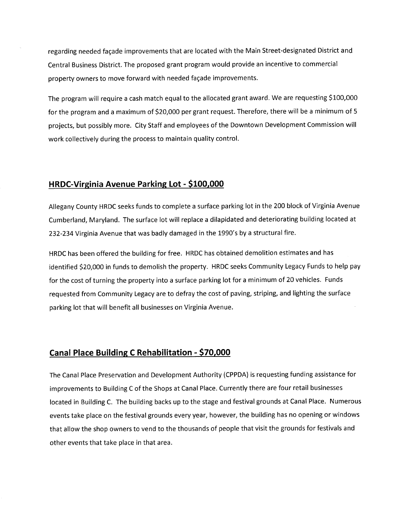regarding needed facade improvements that are located with the Main Street designated District and Central Business District. The proposed grant program would provide an incentive to commercial property owners to move forward with needed façade improvements.

The program will require a cash match equal to the allocated grant award. We are requesting \$100,000 for the program and a maximum of \$20,000 per grant request. Therefore, there will be a minimum of 5 projects, but possibly more. City Staff and employees of the Downtown Development Commission will work collectively during the process to maintain quality control

#### HRDC-Virginia Avenue Parking Lot - \$100,000

Allegany County HRDC seeks funds to complete <sup>a</sup> surface parking lot in the 200 block of Virginia Avenue Cumberland, Maryland. The surface lot will replace a dilapidated and deteriorating building located at Allegarly Courty HRDC seeks funds to complete a surface parking for in the 200 bit<br>Cumberland, Maryland. The surface lot will replace a dilapidated and deteriorating<br>232-234 Virginia Avenue that was badly damaged in the 19

HRDC has been offered the building for free HRDC has obtained demolition estimates and has identified \$20,000 in funds to demolish the property. HRDC seeks Community Legacy Funds to help pay for the cost of turning the property into a surface parking lot for a minimum of 20 vehicles. Funds requested from Community Legacy are to defray the cost of paving, striping, and lighting the surface parking lot that will benefit all businesses on Virginia Avenue

#### Canal Place Building C Rehabilitation - \$70,000

The Canal Place Preservation and Development Authority (CPPDA) is requesting funding assistance for improvements to Building C of the Shops at Canal Place. Currently there are four retail businesses located in Building C. The building backs up to the stage and festival grounds at Canal Place. Numerous events take place on the festival grounds every year, however, the building has no opening or windows that allow the shop owners to vend to the thousands of people that visit the grounds for festivals and other events that take place in that area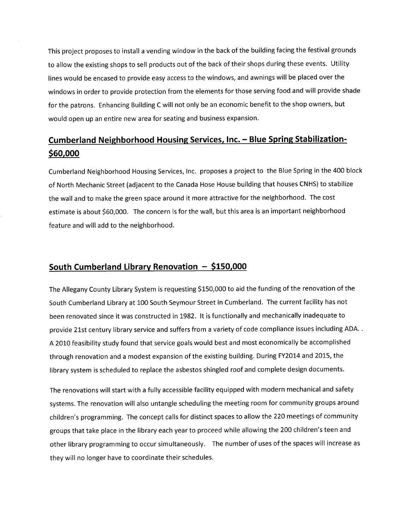This project proposes to install <sup>a</sup> vending window in the back of the building facing the festival grounds to allow the existing shops to sell products out of the back of their shops during these events. Utility lines would be encased to provide easy access to the windows, and awnings will be placed over the windows in order to provide protection from the elements for those serving food and will provide shade for the patrons. Enhancing Building C will not only be an economic benefit to the shop owners, but would open up an entire new area for seating and business expansion

# Cumberland Neighborhood Housing Services, Inc. — Blue Spring Stabilization-<br>\$60,000

Cumberland Neighborhood Housing Services, Inc. proposes a project to the Blue Spring in the 400 block of North Mechanic Street (adjacent to the Canada Hose House building that houses CNHS) to stabilize the wall and to make the green space around it more attractive for the neighborhood. The cost estimate is about \$60,000. The concern is for the wall, but this area is an important neighborhood feature and will add to the neighborhood

#### South Cumberland Library Renovation  $-$  \$150,000

The Allegany County Library System is requesting \$150,000 to aid the funding of the renovation of the South Cumberland Library at 100 South Seymour Street in Cumberland. The current facility has not been renovated since it was constructed in 1982. It is functionally and mechanically inadequate to provide 21st century library service and suffers from <sup>a</sup> variety of code compliance issues including ADA A 2010 feasibility study found that service goals would best and most economically be accomplished through renovation and a modest expansion of the existing building. During FY2014 and 2015, the library system is scheduled to replace the asbestos shingled roof and complete design documents

The renovations will start with <sup>a</sup> fully accessible facility equipped with modern mechanical and safety systems. The renovation will also untangle scheduling the meeting room for community groups around The renovations will start with a fully accessible facility equipped with modern mechanical and safety<br>systems. The renovation will also untangle scheduling the meeting room for community groups arounc<br>children's programmi The renovations will start with a fully accessible facility equipped with modern mechanical and safet<br>systems. The renovation will also untangle scheduling the meeting room for community groups arou<br>children's programming. other library programming to occur simultaneously. The number of uses of the spaces will increase as they will no longer have to coordinate their schedules